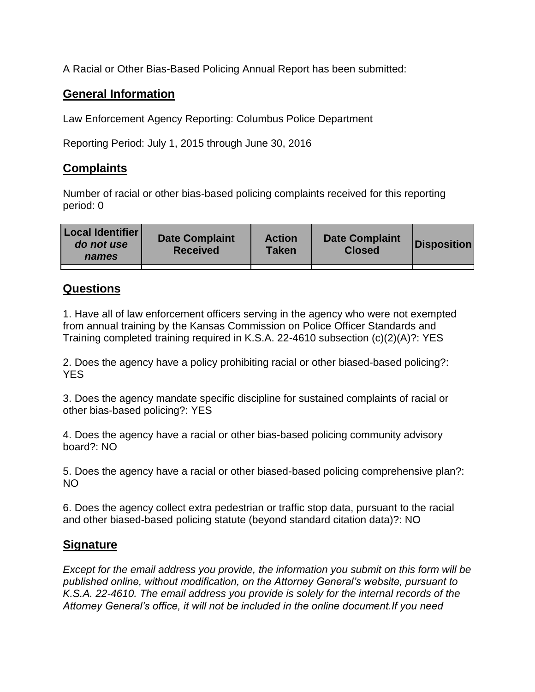A Racial or Other Bias-Based Policing Annual Report has been submitted:

## **General Information**

Law Enforcement Agency Reporting: Columbus Police Department

Reporting Period: July 1, 2015 through June 30, 2016

## **Complaints**

Number of racial or other bias-based policing complaints received for this reporting period: 0

| <b>Local Identifier</b><br>do not use<br>names | <b>Date Complaint</b><br><b>Received</b> | <b>Action</b><br><b>Taken</b> | <b>Date Complaint</b><br><b>Closed</b> | Disposition |
|------------------------------------------------|------------------------------------------|-------------------------------|----------------------------------------|-------------|
|                                                |                                          |                               |                                        |             |

## **Questions**

1. Have all of law enforcement officers serving in the agency who were not exempted from annual training by the Kansas Commission on Police Officer Standards and Training completed training required in K.S.A. 22-4610 subsection (c)(2)(A)?: YES

2. Does the agency have a policy prohibiting racial or other biased-based policing?: YES

3. Does the agency mandate specific discipline for sustained complaints of racial or other bias-based policing?: YES

4. Does the agency have a racial or other bias-based policing community advisory board?: NO

5. Does the agency have a racial or other biased-based policing comprehensive plan?: NO

6. Does the agency collect extra pedestrian or traffic stop data, pursuant to the racial and other biased-based policing statute (beyond standard citation data)?: NO

## **Signature**

*Except for the email address you provide, the information you submit on this form will be published online, without modification, on the Attorney General's website, pursuant to K.S.A. 22-4610. The email address you provide is solely for the internal records of the Attorney General's office, it will not be included in the online document.If you need*